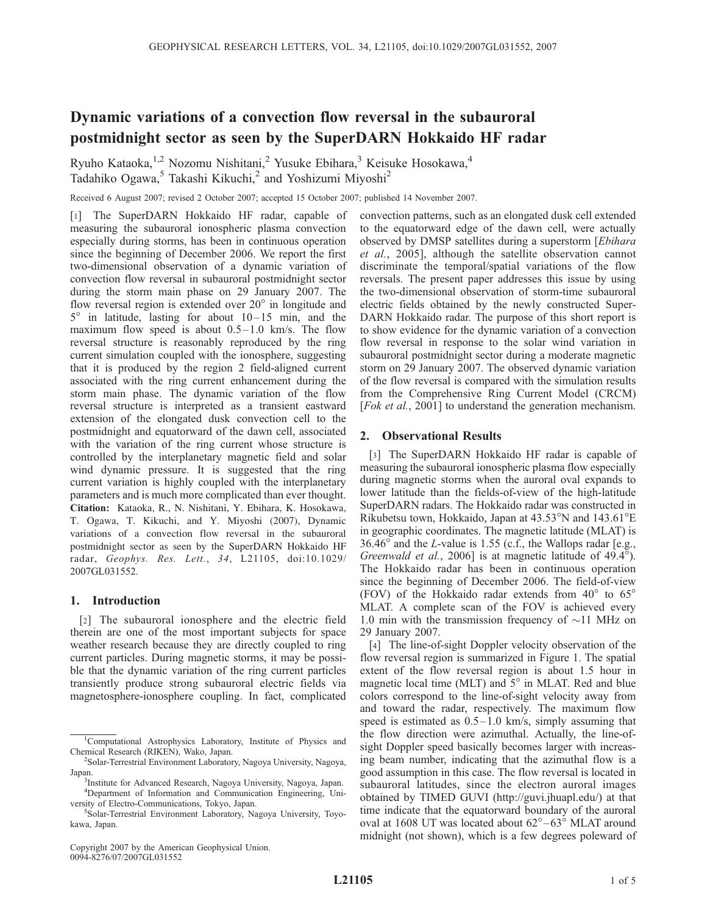# Dynamic variations of a convection flow reversal in the subauroral postmidnight sector as seen by the SuperDARN Hokkaido HF radar

Ryuho Kataoka,<sup>1,2</sup> Nozomu Nishitani,<sup>2</sup> Yusuke Ebihara,<sup>3</sup> Keisuke Hosokawa,<sup>4</sup> Tadahiko Ogawa,<sup>5</sup> Takashi Kikuchi,<sup>2</sup> and Yoshizumi Miyoshi<sup>2</sup>

Received 6 August 2007; revised 2 October 2007; accepted 15 October 2007; published 14 November 2007.

[1] The SuperDARN Hokkaido HF radar, capable of measuring the subauroral ionospheric plasma convection especially during storms, has been in continuous operation since the beginning of December 2006. We report the first two-dimensional observation of a dynamic variation of convection flow reversal in subauroral postmidnight sector during the storm main phase on 29 January 2007. The flow reversal region is extended over  $20^{\circ}$  in longitude and  $5^\circ$  in latitude, lasting for about  $10-15$  min, and the maximum flow speed is about  $0.5-1.0$  km/s. The flow reversal structure is reasonably reproduced by the ring current simulation coupled with the ionosphere, suggesting that it is produced by the region 2 field-aligned current associated with the ring current enhancement during the storm main phase. The dynamic variation of the flow reversal structure is interpreted as a transient eastward extension of the elongated dusk convection cell to the postmidnight and equatorward of the dawn cell, associated with the variation of the ring current whose structure is controlled by the interplanetary magnetic field and solar wind dynamic pressure. It is suggested that the ring current variation is highly coupled with the interplanetary parameters and is much more complicated than ever thought. Citation: Kataoka, R., N. Nishitani, Y. Ebihara, K. Hosokawa, T. Ogawa, T. Kikuchi, and Y. Miyoshi (2007), Dynamic variations of a convection flow reversal in the subauroral postmidnight sector as seen by the SuperDARN Hokkaido HF radar, Geophys. Res. Lett., 34, L21105, doi:10.1029/ 2007GL031552.

## 1. Introduction

[2] The subauroral ionosphere and the electric field therein are one of the most important subjects for space weather research because they are directly coupled to ring current particles. During magnetic storms, it may be possible that the dynamic variation of the ring current particles transiently produce strong subauroral electric fields via magnetosphere-ionosphere coupling. In fact, complicated

Copyright 2007 by the American Geophysical Union. 0094-8276/07/2007GL031552

convection patterns, such as an elongated dusk cell extended to the equatorward edge of the dawn cell, were actually observed by DMSP satellites during a superstorm [Ebihara] et al., 2005], although the satellite observation cannot discriminate the temporal/spatial variations of the flow reversals. The present paper addresses this issue by using the two-dimensional observation of storm-time subauroral electric fields obtained by the newly constructed Super-DARN Hokkaido radar. The purpose of this short report is to show evidence for the dynamic variation of a convection flow reversal in response to the solar wind variation in subauroral postmidnight sector during a moderate magnetic storm on 29 January 2007. The observed dynamic variation of the flow reversal is compared with the simulation results from the Comprehensive Ring Current Model (CRCM) [Fok et al., 2001] to understand the generation mechanism.

## 2. Observational Results

[3] The SuperDARN Hokkaido HF radar is capable of measuring the subauroral ionospheric plasma flow especially during magnetic storms when the auroral oval expands to lower latitude than the fields-of-view of the high-latitude SuperDARN radars. The Hokkaido radar was constructed in Rikubetsu town, Hokkaido, Japan at  $43.53^{\circ}$ N and  $143.61^{\circ}$ E in geographic coordinates. The magnetic latitude (MLAT) is  $36.46^\circ$  and the *L*-value is 1.55 (c.f., the Wallops radar [e.g., Greenwald et al., 2006] is at magnetic latitude of 49.4°). The Hokkaido radar has been in continuous operation since the beginning of December 2006. The field-of-view (FOV) of the Hokkaido radar extends from  $40^{\circ}$  to  $65^{\circ}$ MLAT. A complete scan of the FOV is achieved every 1.0 min with the transmission frequency of  $\sim$ 11 MHz on 29 January 2007.

[4] The line-of-sight Doppler velocity observation of the flow reversal region is summarized in Figure 1. The spatial extent of the flow reversal region is about 1.5 hour in magnetic local time (MLT) and  $5^\circ$  in MLAT. Red and blue colors correspond to the line-of-sight velocity away from and toward the radar, respectively. The maximum flow speed is estimated as  $0.5-1.0$  km/s, simply assuming that the flow direction were azimuthal. Actually, the line-ofsight Doppler speed basically becomes larger with increasing beam number, indicating that the azimuthal flow is a good assumption in this case. The flow reversal is located in subauroral latitudes, since the electron auroral images obtained by TIMED GUVI (http://guvi.jhuapl.edu/) at that time indicate that the equatorward boundary of the auroral oval at 1608 UT was located about  $62^{\circ} - 63^{\circ}$  MLAT around midnight (not shown), which is a few degrees poleward of

<sup>&</sup>lt;sup>1</sup>Computational Astrophysics Laboratory, Institute of Physics and Chemical Research (RIKEN), Wako, Japan. <sup>2</sup>

<sup>&</sup>lt;sup>2</sup>Solar-Terrestrial Environment Laboratory, Nagoya University, Nagoya, Japan.

<sup>&</sup>lt;sup>3</sup> Institute for Advanced Research, Nagoya University, Nagoya, Japan. 4 Department of Information and Communication Engineering, University of Electro-Communications, Tokyo, Japan. <sup>5</sup>

Solar-Terrestrial Environment Laboratory, Nagoya University, Toyokawa, Japan.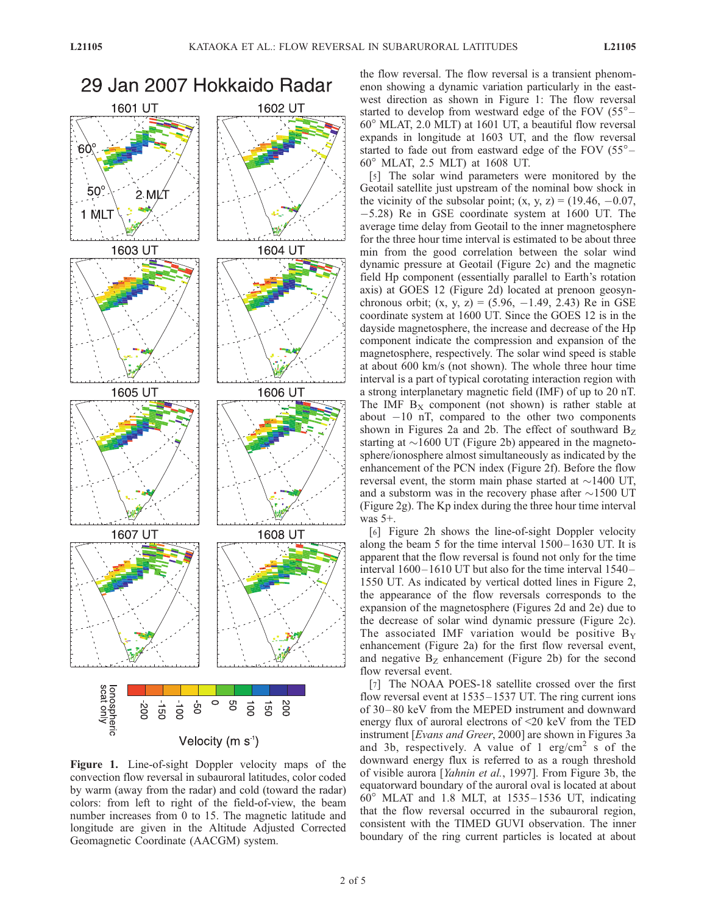

Figure 1. Line-of-sight Doppler velocity maps of the convection flow reversal in subauroral latitudes, color coded by warm (away from the radar) and cold (toward the radar) colors: from left to right of the field-of-view, the beam number increases from 0 to 15. The magnetic latitude and longitude are given in the Altitude Adjusted Corrected Geomagnetic Coordinate (AACGM) system.

the flow reversal. The flow reversal is a transient phenomenon showing a dynamic variation particularly in the eastwest direction as shown in Figure 1: The flow reversal started to develop from westward edge of the FOV  $(55^{\circ} 60^{\circ}$  MLAT, 2.0 MLT) at 1601 UT, a beautiful flow reversal expands in longitude at 1603 UT, and the flow reversal started to fade out from eastward edge of the FOV  $(55^{\circ} -$ 60 MLAT, 2.5 MLT) at 1608 UT.

[5] The solar wind parameters were monitored by the Geotail satellite just upstream of the nominal bow shock in the vicinity of the subsolar point;  $(x, y, z) = (19.46, -0.07,$ -5.28) Re in GSE coordinate system at 1600 UT. The average time delay from Geotail to the inner magnetosphere for the three hour time interval is estimated to be about three min from the good correlation between the solar wind dynamic pressure at Geotail (Figure 2c) and the magnetic field Hp component (essentially parallel to Earth's rotation axis) at GOES 12 (Figure 2d) located at prenoon geosynchronous orbit;  $(x, y, z) = (5.96, -1.49, 2.43)$  Re in GSE coordinate system at 1600 UT. Since the GOES 12 is in the dayside magnetosphere, the increase and decrease of the Hp component indicate the compression and expansion of the magnetosphere, respectively. The solar wind speed is stable at about 600 km/s (not shown). The whole three hour time interval is a part of typical corotating interaction region with a strong interplanetary magnetic field (IMF) of up to 20 nT. The IMF  $B<sub>x</sub>$  component (not shown) is rather stable at about  $-10$  nT, compared to the other two components shown in Figures 2a and 2b. The effect of southward  $B_Z$ starting at  $\sim$ 1600 UT (Figure 2b) appeared in the magnetosphere/ionosphere almost simultaneously as indicated by the enhancement of the PCN index (Figure 2f). Before the flow reversal event, the storm main phase started at  $\sim$ 1400 UT, and a substorm was in the recovery phase after  $\sim$ 1500 UT (Figure 2g). The Kp index during the three hour time interval was 5+.

[6] Figure 2h shows the line-of-sight Doppler velocity along the beam 5 for the time interval  $1500 - 1630$  UT. It is apparent that the flow reversal is found not only for the time interval  $1600 - 1610$  UT but also for the time interval  $1540 -$ 1550 UT. As indicated by vertical dotted lines in Figure 2, the appearance of the flow reversals corresponds to the expansion of the magnetosphere (Figures 2d and 2e) due to the decrease of solar wind dynamic pressure (Figure 2c). The associated IMF variation would be positive  $B_y$ enhancement (Figure 2a) for the first flow reversal event, and negative  $B<sub>Z</sub>$  enhancement (Figure 2b) for the second flow reversal event.

[7] The NOAA POES-18 satellite crossed over the first flow reversal event at 1535–1537 UT. The ring current ions of 30 – 80 keV from the MEPED instrument and downward energy flux of auroral electrons of <20 keV from the TED instrument [Evans and Greer, 2000] are shown in Figures 3a and 3b, respectively. A value of 1  $erg/cm<sup>2</sup>$  s of the downward energy flux is referred to as a rough threshold of visible aurora [Yahnin et al., 1997]. From Figure 3b, the equatorward boundary of the auroral oval is located at about  $60^\circ$  MLAT and 1.8 MLT, at 1535–1536 UT, indicating that the flow reversal occurred in the subauroral region, consistent with the TIMED GUVI observation. The inner boundary of the ring current particles is located at about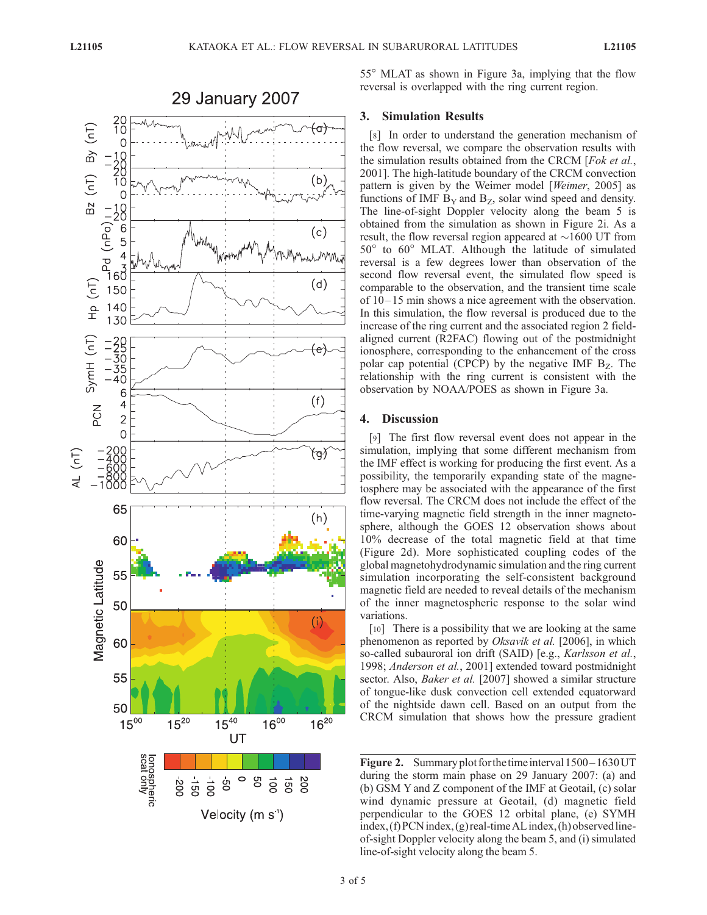

55 MLAT as shown in Figure 3a, implying that the flow reversal is overlapped with the ring current region.

### 3. Simulation Results

[8] In order to understand the generation mechanism of the flow reversal, we compare the observation results with the simulation results obtained from the CRCM [Fok et al., 2001]. The high-latitude boundary of the CRCM convection pattern is given by the Weimer model [Weimer, 2005] as functions of IMF  $B<sub>Y</sub>$  and  $B<sub>Z</sub>$ , solar wind speed and density. The line-of-sight Doppler velocity along the beam 5 is obtained from the simulation as shown in Figure 2i. As a result, the flow reversal region appeared at  $\sim$ 1600 UT from  $50^{\circ}$  to  $60^{\circ}$  MLAT. Although the latitude of simulated reversal is a few degrees lower than observation of the second flow reversal event, the simulated flow speed is comparable to the observation, and the transient time scale of 10 – 15 min shows a nice agreement with the observation. In this simulation, the flow reversal is produced due to the increase of the ring current and the associated region 2 fieldaligned current (R2FAC) flowing out of the postmidnight ionosphere, corresponding to the enhancement of the cross polar cap potential (CPCP) by the negative IMF  $B_Z$ . The relationship with the ring current is consistent with the observation by NOAA/POES as shown in Figure 3a.

## 4. Discussion

[9] The first flow reversal event does not appear in the simulation, implying that some different mechanism from the IMF effect is working for producing the first event. As a possibility, the temporarily expanding state of the magnetosphere may be associated with the appearance of the first flow reversal. The CRCM does not include the effect of the time-varying magnetic field strength in the inner magnetosphere, although the GOES 12 observation shows about 10% decrease of the total magnetic field at that time (Figure 2d). More sophisticated coupling codes of the global magnetohydrodynamic simulation and the ring current simulation incorporating the self-consistent background magnetic field are needed to reveal details of the mechanism of the inner magnetospheric response to the solar wind variations.

[10] There is a possibility that we are looking at the same phenomenon as reported by Oksavik et al. [2006], in which so-called subauroral ion drift (SAID) [e.g., Karlsson et al., 1998; Anderson et al., 2001] extended toward postmidnight sector. Also, *Baker et al.* [2007] showed a similar structure of tongue-like dusk convection cell extended equatorward of the nightside dawn cell. Based on an output from the CRCM simulation that shows how the pressure gradient

Figure 2. Summary plot for the time interval  $1500 - 1630$  UT during the storm main phase on 29 January 2007: (a) and (b) GSM Y and Z component of the IMF at Geotail, (c) solar wind dynamic pressure at Geotail, (d) magnetic field perpendicular to the GOES 12 orbital plane, (e) SYMH  $index, (f) PCN index, (g) real-time AL index, (h) observed line$ of-sight Doppler velocity along the beam 5, and (i) simulated line-of-sight velocity along the beam 5.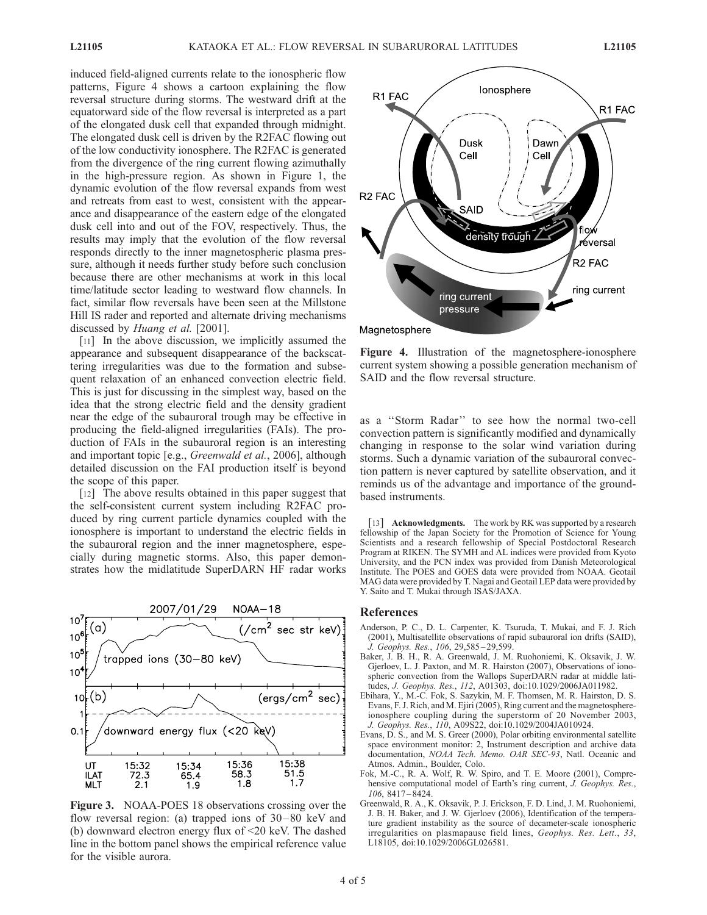induced field-aligned currents relate to the ionospheric flow patterns, Figure 4 shows a cartoon explaining the flow reversal structure during storms. The westward drift at the equatorward side of the flow reversal is interpreted as a part of the elongated dusk cell that expanded through midnight. The elongated dusk cell is driven by the R2FAC flowing out of the low conductivity ionosphere. The R2FAC is generated from the divergence of the ring current flowing azimuthally in the high-pressure region. As shown in Figure 1, the dynamic evolution of the flow reversal expands from west and retreats from east to west, consistent with the appearance and disappearance of the eastern edge of the elongated dusk cell into and out of the FOV, respectively. Thus, the results may imply that the evolution of the flow reversal responds directly to the inner magnetospheric plasma pressure, although it needs further study before such conclusion because there are other mechanisms at work in this local time/latitude sector leading to westward flow channels. In fact, similar flow reversals have been seen at the Millstone Hill IS rader and reported and alternate driving mechanisms discussed by *Huang et al.* [2001].

[11] In the above discussion, we implicitly assumed the appearance and subsequent disappearance of the backscattering irregularities was due to the formation and subsequent relaxation of an enhanced convection electric field. This is just for discussing in the simplest way, based on the idea that the strong electric field and the density gradient near the edge of the subauroral trough may be effective in producing the field-aligned irregularities (FAIs). The production of FAIs in the subauroral region is an interesting and important topic [e.g., Greenwald et al., 2006], although detailed discussion on the FAI production itself is beyond the scope of this paper.

[12] The above results obtained in this paper suggest that the self-consistent current system including R2FAC produced by ring current particle dynamics coupled with the ionosphere is important to understand the electric fields in the subauroral region and the inner magnetosphere, especially during magnetic storms. Also, this paper demonstrates how the midlatitude SuperDARN HF radar works



Figure 3. NOAA-POES 18 observations crossing over the flow reversal region: (a) trapped ions of 30-80 keV and (b) downward electron energy flux of <20 keV. The dashed line in the bottom panel shows the empirical reference value for the visible aurora.



Figure 4. Illustration of the magnetosphere-ionosphere current system showing a possible generation mechanism of SAID and the flow reversal structure.

as a ''Storm Radar'' to see how the normal two-cell convection pattern is significantly modified and dynamically changing in response to the solar wind variation during storms. Such a dynamic variation of the subauroral convection pattern is never captured by satellite observation, and it reminds us of the advantage and importance of the groundbased instruments.

[13] **Acknowledgments.** The work by RK was supported by a research fellowship of the Japan Society for the Promotion of Science for Young Scientists and a research fellowship of Special Postdoctoral Research Program at RIKEN. The SYMH and AL indices were provided from Kyoto University, and the PCN index was provided from Danish Meteorological Institute. The POES and GOES data were provided from NOAA. Geotail MAG data were provided by T. Nagai and Geotail LEP data were provided by Y. Saito and T. Mukai through ISAS/JAXA.

#### References

- Anderson, P. C., D. L. Carpenter, K. Tsuruda, T. Mukai, and F. J. Rich (2001), Multisatellite observations of rapid subauroral ion drifts (SAID), J. Geophys. Res., 106, 29,585 – 29,599.
- Baker, J. B. H., R. A. Greenwald, J. M. Ruohoniemi, K. Oksavik, J. W. Gjerloev, L. J. Paxton, and M. R. Hairston (2007), Observations of ionospheric convection from the Wallops SuperDARN radar at middle latitudes, J. Geophys. Res., 112, A01303, doi:10.1029/2006JA011982.
- Ebihara, Y., M.-C. Fok, S. Sazykin, M. F. Thomsen, M. R. Hairston, D. S. Evans, F. J. Rich, and M. Ejiri (2005), Ring current and the magnetosphereionosphere coupling during the superstorm of 20 November 2003, J. Geophys. Res., 110, A09S22, doi:10.1029/2004JA010924.
- Evans, D. S., and M. S. Greer (2000), Polar orbiting environmental satellite space environment monitor: 2, Instrument description and archive data documentation, NOAA Tech. Memo. OAR SEC-93, Natl. Oceanic and Atmos. Admin., Boulder, Colo.
- Fok, M.-C., R. A. Wolf, R. W. Spiro, and T. E. Moore (2001), Comprehensive computational model of Earth's ring current, *J. Geophys. Res.*,  $106, 8417 - 8424.$
- Greenwald, R. A., K. Oksavik, P. J. Erickson, F. D. Lind, J. M. Ruohoniemi, J. B. H. Baker, and J. W. Gjerloev (2006), Identification of the temperature gradient instability as the source of decameter-scale ionospheric irregularities on plasmapause field lines, Geophys. Res. Lett., 33, L18105, doi:10.1029/2006GL026581.